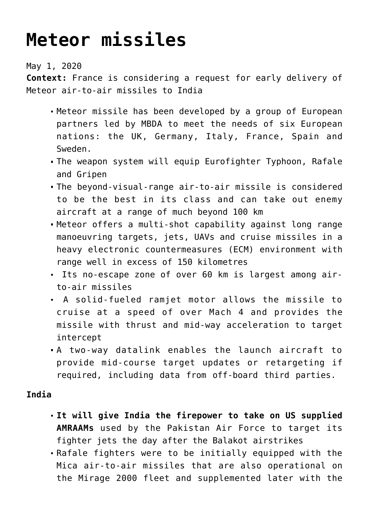## **[Meteor missiles](https://journalsofindia.com/meteor-missiles/)**

May 1, 2020

**Context:** France is considering a request for early delivery of Meteor air-to-air missiles to India

- Meteor missile has been developed by a group of European partners led by MBDA to meet the needs of six European nations: the UK, Germany, Italy, France, Spain and Sweden.
- The weapon system will equip Eurofighter Typhoon, Rafale and Gripen
- The beyond-visual-range air-to-air missile is considered to be the best in its class and can take out enemy aircraft at a range of much beyond 100 km
- Meteor offers a multi-shot capability against long range manoeuvring targets, jets, UAVs and cruise missiles in a heavy electronic countermeasures (ECM) environment with range well in excess of 150 kilometres
- Its no-escape zone of over 60 km is largest among airto-air missiles
- A solid-fueled ramjet motor allows the missile to cruise at a speed of over Mach 4 and provides the missile with thrust and mid-way acceleration to target intercept
- A two-way datalink enables the launch aircraft to provide mid-course target updates or retargeting if required, including data from off-board third parties.

## **India**

- **It will give India the firepower to take on US supplied AMRAAMs** used by the Pakistan Air Force to target its fighter jets the day after the Balakot airstrikes
- Rafale fighters were to be initially equipped with the Mica air-to-air missiles that are also operational on the Mirage 2000 fleet and supplemented later with the